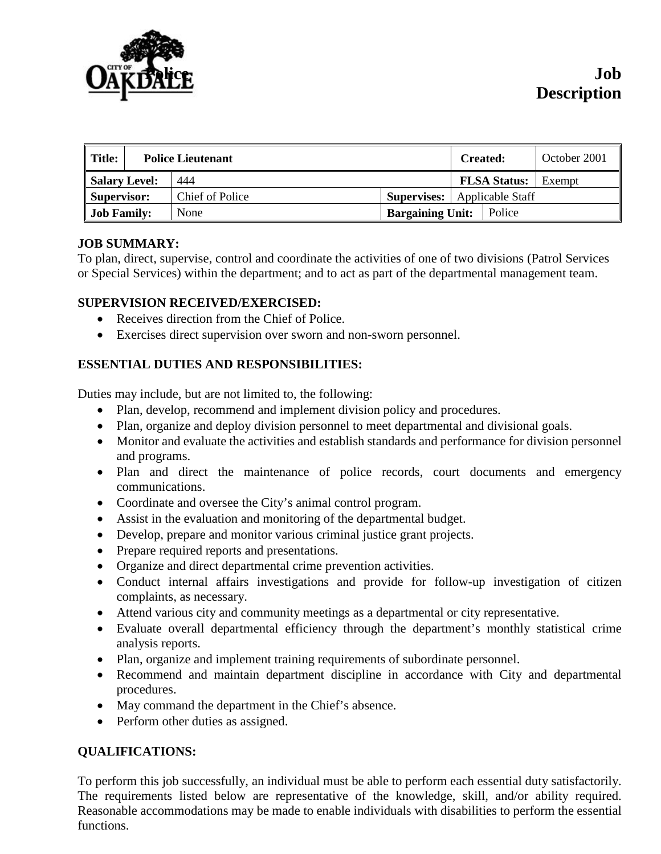

| <b>Title:</b>        | <b>Police Lieutenant</b> |                 |  |                         | <b>Created:</b>  |                     | October 2001 |
|----------------------|--------------------------|-----------------|--|-------------------------|------------------|---------------------|--------------|
| <b>Salary Level:</b> |                          | 444             |  |                         |                  | <b>FLSA Status:</b> | Exempt       |
| Supervisor:          |                          | Chief of Police |  | <b>Supervises:</b>      | Applicable Staff |                     |              |
| <b>Job Family:</b>   |                          | None            |  | <b>Bargaining Unit:</b> |                  | Police              |              |

## **JOB SUMMARY:**

To plan, direct, supervise, control and coordinate the activities of one of two divisions (Patrol Services or Special Services) within the department; and to act as part of the departmental management team.

## **SUPERVISION RECEIVED/EXERCISED:**

- Receives direction from the Chief of Police.
- Exercises direct supervision over sworn and non-sworn personnel.

# **ESSENTIAL DUTIES AND RESPONSIBILITIES:**

Duties may include, but are not limited to, the following:

- Plan, develop, recommend and implement division policy and procedures.
- Plan, organize and deploy division personnel to meet departmental and divisional goals.
- Monitor and evaluate the activities and establish standards and performance for division personnel and programs.
- Plan and direct the maintenance of police records, court documents and emergency communications.
- Coordinate and oversee the City's animal control program.
- Assist in the evaluation and monitoring of the departmental budget.
- Develop, prepare and monitor various criminal justice grant projects.
- Prepare required reports and presentations.
- Organize and direct departmental crime prevention activities.
- Conduct internal affairs investigations and provide for follow-up investigation of citizen complaints, as necessary.
- Attend various city and community meetings as a departmental or city representative.
- Evaluate overall departmental efficiency through the department's monthly statistical crime analysis reports.
- Plan, organize and implement training requirements of subordinate personnel.
- Recommend and maintain department discipline in accordance with City and departmental procedures.
- May command the department in the Chief's absence.
- Perform other duties as assigned.

# **QUALIFICATIONS:**

To perform this job successfully, an individual must be able to perform each essential duty satisfactorily. The requirements listed below are representative of the knowledge, skill, and/or ability required. Reasonable accommodations may be made to enable individuals with disabilities to perform the essential functions.